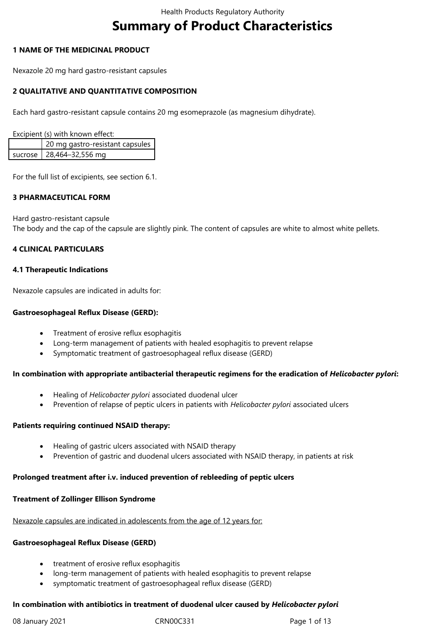# **Summary of Product Characteristics**

#### **1 NAME OF THE MEDICINAL PRODUCT**

Nexazole 20 mg hard gastro-resistant capsules

## **2 QUALITATIVE AND QUANTITATIVE COMPOSITION**

Each hard gastro-resistant capsule contains 20 mg esomeprazole (as magnesium dihydrate).

Excipient (s) with known effect:

| 20 mg gastro-resistant capsules |
|---------------------------------|
| sucrose   28,464-32,556 mg      |

For the full list of excipients, see section 6.1.

#### **3 PHARMACEUTICAL FORM**

Hard gastro-resistant capsule The body and the cap of the capsule are slightly pink. The content of capsules are white to almost white pellets.

## **4 CLINICAL PARTICULARS**

#### **4.1 Therapeutic Indications**

Nexazole capsules are indicated in adults for:

#### **Gastroesophageal Reflux Disease (GERD):**

- Treatment of erosive reflux esophagitis
- Long-term management of patients with healed esophagitis to prevent relapse
- Symptomatic treatment of gastroesophageal reflux disease (GERD)

#### **In combination with appropriate antibacterial therapeutic regimens for the eradication of** *Helicobacter pylori***:**

- Healing of *Helicobacter pylori* associated duodenal ulcer
- Prevention of relapse of peptic ulcers in patients with *Helicobacter pylori* associated ulcers

#### **Patients requiring continued NSAID therapy:**

- Healing of gastric ulcers associated with NSAID therapy
- Prevention of gastric and duodenal ulcers associated with NSAID therapy, in patients at risk

#### **Prolonged treatment after i.v. induced prevention of rebleeding of peptic ulcers**

#### **Treatment of Zollinger Ellison Syndrome**

Nexazole capsules are indicated in adolescents from the age of 12 years for:

#### **Gastroesophageal Reflux Disease (GERD)**

- treatment of erosive reflux esophagitis
- long-term management of patients with healed esophagitis to prevent relapse
- symptomatic treatment of gastroesophageal reflux disease (GERD)

# **In combination with antibiotics in treatment of duodenal ulcer caused by** *Helicobacter pylori*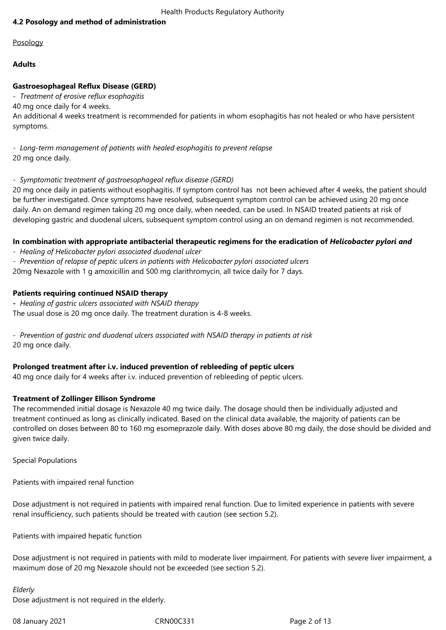## **4.2 Posology and method of administration**

Posology

## **Adults**

## **Gastroesophageal Reflux Disease (GERD)**

- *Treatment of erosive reflux esophagitis*

40 mg once daily for 4 weeks.

An additional 4 weeks treatment is recommended for patients in whom esophagitis has not healed or who have persistent symptoms.

- *Long-term management of patients with healed esophagitis to prevent relapse* 20 mg once daily.

## - *Symptomatic treatment of gastroesophageal reflux disease (GERD)*

20 mg once daily in patients without esophagitis. If symptom control has not been achieved after 4 weeks, the patient should be further investigated. Once symptoms have resolved, subsequent symptom control can be achieved using 20 mg once daily. An on demand regimen taking 20 mg once daily, when needed, can be used. In NSAID treated patients at risk of developing gastric and duodenal ulcers, subsequent symptom control using an on demand regimen is not recommended.

## In combination with appropriate antibacterial therapeutic regimens for the eradication of *Helicobacter pylori and*

- *Healing of Helicobacter pylori associated duodenal ulcer*
- *Prevention of relapse of peptic ulcers in patients with Helicobacter pylori associated ulcers*

20mg Nexazole with 1 g amoxicillin and 500 mg clarithromycin, all twice daily for 7 days.

## **Patients requiring continued NSAID therapy**

**-** *Healing of gastric ulcers associated with NSAID therapy* The usual dose is 20 mg once daily. The treatment duration is 4-8 weeks.

- *Prevention of gastric and duodenal ulcers associated with NSAID therapy in patients at risk* 20 mg once daily.

## **Prolonged treatment after i.v. induced prevention of rebleeding of peptic ulcers**

40 mg once daily for 4 weeks after i.v. induced prevention of rebleeding of peptic ulcers.

## **Treatment of Zollinger Ellison Syndrome**

The recommended initial dosage is Nexazole 40 mg twice daily. The dosage should then be individually adjusted and treatment continued as long as clinically indicated. Based on the clinical data available, the majority of patients can be controlled on doses between 80 to 160 mg esomeprazole daily. With doses above 80 mg daily, the dose should be divided and given twice daily.

Special Populations

Patients with impaired renal function

Dose adjustment is not required in patients with impaired renal function. Due to limited experience in patients with severe renal insufficiency, such patients should be treated with caution (see section 5.2).

Patients with impaired hepatic function

Dose adjustment is not required in patients with mild to moderate liver impairment. For patients with severe liver impairment, a maximum dose of 20 mg Nexazole should not be exceeded (see section 5.2).

## *Elderly*

Dose adjustment is not required in the elderly.

08 January 2021 CRN00C331 Page 2 of 13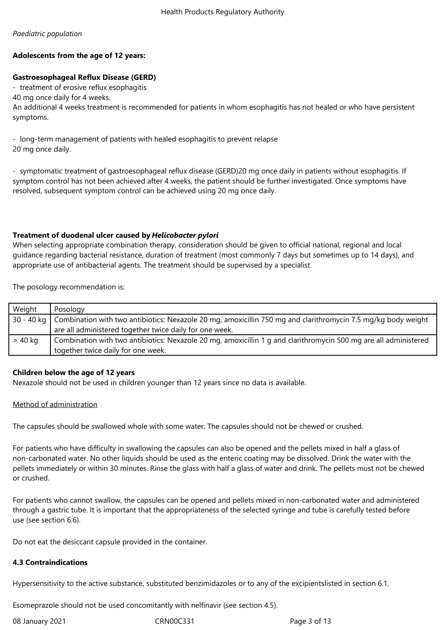## *Paediatric population*

# **Adolescents from the age of 12 years:**

# **Gastroesophageal Reflux Disease (GERD)**

- treatment of erosive reflux esophagitis

40 mg once daily for 4 weeks.

An additional 4 weeks treatment is recommended for patients in whom esophagitis has not healed or who have persistent symptoms.

- long-term management of patients with healed esophagitis to prevent relapse 20 mg once daily.

- symptomatic treatment of gastroesophageal reflux disease (GERD)20 mg once daily in patients without esophagitis. If symptom control has not been achieved after 4 weeks, the patient should be further investigated. Once symptoms have resolved, subsequent symptom control can be achieved using 20 mg once daily.

# **Treatment of duodenal ulcer caused by** *Helicobacter pylori*

When selecting appropriate combination therapy, consideration should be given to official national, regional and local guidance regarding bacterial resistance, duration of treatment (most commonly 7 days but sometimes up to 14 days), and appropriate use of antibacterial agents. The treatment should be supervised by a specialist.

The posology recommendation is:

| Weight  | Posology                                                                                                                   |  |
|---------|----------------------------------------------------------------------------------------------------------------------------|--|
|         | 30 - 40 kg   Combination with two antibiotics: Nexazole 20 mg, amoxicillin 750 mg and clarithromycin 7.5 mg/kg body weight |  |
|         | are all administered together twice daily for one week.                                                                    |  |
| > 40 kg | Combination with two antibiotics: Nexazole 20 mg, amoxicillin 1 g and clarithromycin 500 mg are all administered           |  |
|         | together twice daily for one week.                                                                                         |  |

## **Children below the age of 12 years**

Nexazole should not be used in children younger than 12 years since no data is available.

#### Method of administration

The capsules should be swallowed whole with some water. The capsules should not be chewed or crushed.

For patients who have difficulty in swallowing the capsules can also be opened and the pellets mixed in half a glass of non-carbonated water. No other liquids should be used as the enteric coating may be dissolved. Drink the water with the pellets immediately or within 30 minutes. Rinse the glass with half a glass of water and drink. The pellets must not be chewed or crushed.

For patients who cannot swallow, the capsules can be opened and pellets mixed in non-carbonated water and administered through a gastric tube. It is important that the appropriateness of the selected syringe and tube is carefully tested before use (see section 6.6).

Do not eat the desiccant capsule provided in the container.

#### **4.3 Contraindications**

Hypersensitivity to the active substance, substituted benzimidazoles or to any of the excipientslisted in section 6.1.

Esomeprazole should not be used concomitantly with nelfinavir (see section 4.5).

| 08 January 2021 | CRN00C331 | Page 3 of 13 |
|-----------------|-----------|--------------|
|                 |           |              |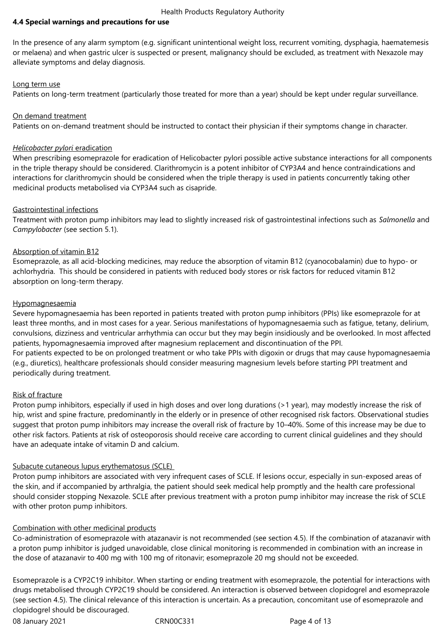## **4.4 Special warnings and precautions for use**

In the presence of any alarm symptom (e.g. significant unintentional weight loss, recurrent vomiting, dysphagia, haematemesis or melaena) and when gastric ulcer is suspected or present, malignancy should be excluded, as treatment with Nexazole may alleviate symptoms and delay diagnosis.

#### Long term use

Patients on long-term treatment (particularly those treated for more than a year) should be kept under regular surveillance.

#### On demand treatment

Patients on on-demand treatment should be instructed to contact their physician if their symptoms change in character.

#### *Helicobacter pylori* eradication

When prescribing esomeprazole for eradication of Helicobacter pylori possible active substance interactions for all components in the triple therapy should be considered. Clarithromycin is a potent inhibitor of CYP3A4 and hence contraindications and interactions for clarithromycin should be considered when the triple therapy is used in patients concurrently taking other medicinal products metabolised via CYP3A4 such as cisapride.

#### Gastrointestinal infections

Treatment with proton pump inhibitors may lead to slightly increased risk of gastrointestinal infections such as *Salmonella* and *Campylobacter* (see section 5.1).

#### Absorption of vitamin B12

Esomeprazole, as all acid-blocking medicines, may reduce the absorption of vitamin B12 (cyanocobalamin) due to hypo- or achlorhydria. This should be considered in patients with reduced body stores or risk factors for reduced vitamin B12 absorption on long-term therapy.

#### Hypomagnesaemia

Severe hypomagnesaemia has been reported in patients treated with proton pump inhibitors (PPIs) like esomeprazole for at least three months, and in most cases for a year. Serious manifestations of hypomagnesaemia such as fatigue, tetany, delirium, convulsions, dizziness and ventricular arrhythmia can occur but they may begin insidiously and be overlooked. In most affected patients, hypomagnesaemia improved after magnesium replacement and discontinuation of the PPI.

For patients expected to be on prolonged treatment or who take PPIs with digoxin or drugs that may cause hypomagnesaemia (e.g., diuretics), healthcare professionals should consider measuring magnesium levels before starting PPI treatment and periodically during treatment.

#### Risk of fracture

Proton pump inhibitors, especially if used in high doses and over long durations (>1 year), may modestly increase the risk of hip, wrist and spine fracture, predominantly in the elderly or in presence of other recognised risk factors. Observational studies suggest that proton pump inhibitors may increase the overall risk of fracture by 10–40%. Some of this increase may be due to other risk factors. Patients at risk of osteoporosis should receive care according to current clinical guidelines and they should have an adequate intake of vitamin D and calcium.

#### Subacute cutaneous lupus erythematosus (SCLE)

Proton pump inhibitors are associated with very infrequent cases of SCLE. If lesions occur, especially in sun-exposed areas of the skin, and if accompanied by arthralgia, the patient should seek medical help promptly and the health care professional should consider stopping Nexazole. SCLE after previous treatment with a proton pump inhibitor may increase the risk of SCLE with other proton pump inhibitors.

#### Combination with other medicinal products

Co-administration of esomeprazole with atazanavir is not recommended (see section 4.5). If the combination of atazanavir with a proton pump inhibitor is judged unavoidable, close clinical monitoring is recommended in combination with an increase in the dose of atazanavir to 400 mg with 100 mg of ritonavir; esomeprazole 20 mg should not be exceeded.

Esomeprazole is a CYP2C19 inhibitor. When starting or ending treatment with esomeprazole, the potential for interactions with drugs metabolised through CYP2C19 should be considered. An interaction is observed between clopidogrel and esomeprazole (see section 4.5). The clinical relevance of this interaction is uncertain. As a precaution, concomitant use of esomeprazole and clopidogrel should be discouraged.

08 January 2021 **CRN00C331** CRN00C331 Page 4 of 13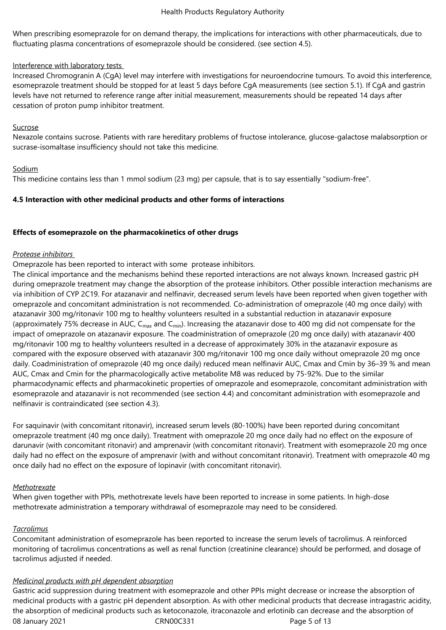When prescribing esomeprazole for on demand therapy, the implications for interactions with other pharmaceuticals, due to fluctuating plasma concentrations of esomeprazole should be considered. (see section 4.5).

#### Interference with laboratory tests

Increased Chromogranin A (CgA) level may interfere with investigations for neuroendocrine tumours. To avoid this interference, esomeprazole treatment should be stopped for at least 5 days before CgA measurements (see section 5.1). If CgA and gastrin levels have not returned to reference range after initial measurement, measurements should be repeated 14 days after cessation of proton pump inhibitor treatment.

#### Sucrose

Nexazole contains sucrose. Patients with rare hereditary problems of fructose intolerance, glucose-galactose malabsorption or sucrase-isomaltase insufficiency should not take this medicine.

#### Sodium

This medicine contains less than 1 mmol sodium (23 mg) per capsule, that is to say essentially "sodium-free".

## **4.5 Interaction with other medicinal products and other forms of interactions**

#### **Effects of esomeprazole on the pharmacokinetics of other drugs**

#### *Protease inhibitors*

Omeprazole has been reported to interact with some protease inhibitors.

The clinical importance and the mechanisms behind these reported interactions are not always known. Increased gastric pH during omeprazole treatment may change the absorption of the protease inhibitors. Other possible interaction mechanisms are via inhibition of CYP 2C19. For atazanavir and nelfinavir, decreased serum levels have been reported when given together with omeprazole and concomitant administration is not recommended. Co-administration of omeprazole (40 mg once daily) with atazanavir 300 mg/ritonavir 100 mg to healthy volunteers resulted in a substantial reduction in atazanavir exposure (approximately 75% decrease in AUC,  $C_{\text{max}}$  and  $C_{\text{min}}$ ). Increasing the atazanavir dose to 400 mg did not compensate for the impact of omeprazole on atazanavir exposure. The coadministration of omeprazole (20 mg once daily) with atazanavir 400 mg/ritonavir 100 mg to healthy volunteers resulted in a decrease of approximately 30% in the atazanavir exposure as compared with the exposure observed with atazanavir 300 mg/ritonavir 100 mg once daily without omeprazole 20 mg once daily. Coadministration of omeprazole (40 mg once daily) reduced mean nelfinavir AUC, Cmax and Cmin by 36–39 % and mean AUC, Cmax and Cmin for the pharmacologically active metabolite M8 was reduced by 75-92%. Due to the similar pharmacodynamic effects and pharmacokinetic properties of omeprazole and esomeprazole, concomitant administration with esomeprazole and atazanavir is not recommended (see section 4.4) and concomitant administration with esomeprazole and nelfinavir is contraindicated (see section 4.3).

For saquinavir (with concomitant ritonavir), increased serum levels (80-100%) have been reported during concomitant omeprazole treatment (40 mg once daily). Treatment with omeprazole 20 mg once daily had no effect on the exposure of darunavir (with concomitant ritonavir) and amprenavir (with concomitant ritonavir). Treatment with esomeprazole 20 mg once daily had no effect on the exposure of amprenavir (with and without concomitant ritonavir). Treatment with omeprazole 40 mg once daily had no effect on the exposure of lopinavir (with concomitant ritonavir).

#### *Methotrexate*

When given together with PPIs, methotrexate levels have been reported to increase in some patients. In high-dose methotrexate administration a temporary withdrawal of esomeprazole may need to be considered.

#### *Tacrolimus*

Concomitant administration of esomeprazole has been reported to increase the serum levels of tacrolimus. A reinforced monitoring of tacrolimus concentrations as well as renal function (creatinine clearance) should be performed, and dosage of tacrolimus adjusted if needed.

#### *Medicinal products with pH dependent absorption*

08 January 2021 CRN00C331 Page 5 of 13 Gastric acid suppression during treatment with esomeprazole and other PPIs might decrease or increase the absorption of medicinal products with a gastric pH dependent absorption. As with other medicinal products that decrease intragastric acidity, the absorption of medicinal products such as ketoconazole, itraconazole and erlotinib can decrease and the absorption of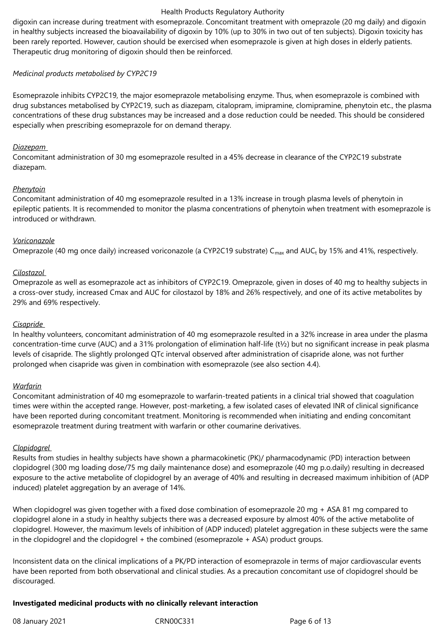digoxin can increase during treatment with esomeprazole. Concomitant treatment with omeprazole (20 mg daily) and digoxin in healthy subjects increased the bioavailability of digoxin by 10% (up to 30% in two out of ten subjects). Digoxin toxicity has been rarely reported. However, caution should be exercised when esomeprazole is given at high doses in elderly patients. Therapeutic drug monitoring of digoxin should then be reinforced.

## *Medicinal products metabolised by CYP2C19*

Esomeprazole inhibits CYP2C19, the major esomeprazole metabolising enzyme. Thus, when esomeprazole is combined with drug substances metabolised by CYP2C19, such as diazepam, citalopram, imipramine, clomipramine, phenytoin etc., the plasma concentrations of these drug substances may be increased and a dose reduction could be needed. This should be considered especially when prescribing esomeprazole for on demand therapy.

#### *Diazepam*

Concomitant administration of 30 mg esomeprazole resulted in a 45% decrease in clearance of the CYP2C19 substrate diazepam.

## *Phenytoin*

Concomitant administration of 40 mg esomeprazole resulted in a 13% increase in trough plasma levels of phenytoin in epileptic patients. It is recommended to monitor the plasma concentrations of phenytoin when treatment with esomeprazole is introduced or withdrawn.

## *Voriconazole*

Omeprazole (40 mg once daily) increased voriconazole (a CYP2C19 substrate) C $_{\sf max}$  and AUC $_{\sf t}$  by 15% and 41%, respectively.

## *Cilostazol*

Omeprazole as well as esomeprazole act as inhibitors of CYP2C19. Omeprazole, given in doses of 40 mg to healthy subjects in a cross-over study, increased Cmax and AUC for cilostazol by 18% and 26% respectively, and one of its active metabolites by 29% and 69% respectively.

#### *Cisapride*

In healthy volunteers, concomitant administration of 40 mg esomeprazole resulted in a 32% increase in area under the plasma concentration-time curve (AUC) and a 31% prolongation of elimination half-life (t½) but no significant increase in peak plasma levels of cisapride. The slightly prolonged QTc interval observed after administration of cisapride alone, was not further prolonged when cisapride was given in combination with esomeprazole (see also section 4.4).

#### *Warfarin*

Concomitant administration of 40 mg esomeprazole to warfarin-treated patients in a clinical trial showed that coagulation times were within the accepted range. However, post-marketing, a few isolated cases of elevated INR of clinical significance have been reported during concomitant treatment. Monitoring is recommended when initiating and ending concomitant esomeprazole treatment during treatment with warfarin or other coumarine derivatives.

## *Clopidogrel*

Results from studies in healthy subjects have shown a pharmacokinetic (PK)/ pharmacodynamic (PD) interaction between clopidogrel (300 mg loading dose/75 mg daily maintenance dose) and esomeprazole (40 mg p.o.daily) resulting in decreased exposure to the active metabolite of clopidogrel by an average of 40% and resulting in decreased maximum inhibition of (ADP induced) platelet aggregation by an average of 14%.

When clopidogrel was given together with a fixed dose combination of esomeprazole 20 mg + ASA 81 mg compared to clopidogrel alone in a study in healthy subjects there was a decreased exposure by almost 40% of the active metabolite of clopidogrel. However, the maximum levels of inhibition of (ADP induced) platelet aggregation in these subjects were the same in the clopidogrel and the clopidogrel + the combined (esomeprazole + ASA) product groups.

Inconsistent data on the clinical implications of a PK/PD interaction of esomeprazole in terms of major cardiovascular events have been reported from both observational and clinical studies. As a precaution concomitant use of clopidogrel should be discouraged.

## **Investigated medicinal products with no clinically relevant interaction**

08 January 2021 CRN00C331 Page 6 of 13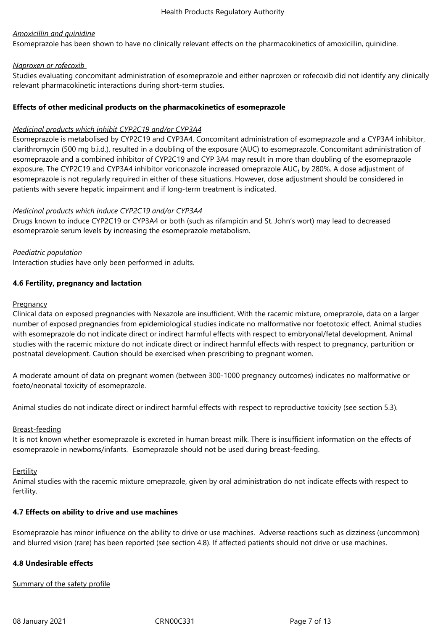## *Amoxicillin and quinidine*

Esomeprazole has been shown to have no clinically relevant effects on the pharmacokinetics of amoxicillin, quinidine.

#### *Naproxen or rofecoxib*

Studies evaluating concomitant administration of esomeprazole and either naproxen or rofecoxib did not identify any clinically relevant pharmacokinetic interactions during short-term studies.

## **Effects of other medicinal products on the pharmacokinetics of esomeprazole**

## *Medicinal products which inhibit CYP2C19 and/or CYP3A4*

Esomeprazole is metabolised by CYP2C19 and CYP3A4. Concomitant administration of esomeprazole and a CYP3A4 inhibitor, clarithromycin (500 mg b.i.d.), resulted in a doubling of the exposure (AUC) to esomeprazole. Concomitant administration of esomeprazole and a combined inhibitor of CYP2C19 and CYP 3A4 may result in more than doubling of the esomeprazole exposure. The CYP2C19 and CYP3A4 inhibitor voriconazole increased omeprazole AUC<sub>t</sub> by 280%. A dose adjustment of esomeprazole is not regularly required in either of these situations. However, dose adjustment should be considered in patients with severe hepatic impairment and if long-term treatment is indicated.

## *Medicinal products which induce CYP2C19 and/or CYP3A4*

Drugs known to induce CYP2C19 or CYP3A4 or both (such as rifampicin and St. John's wort) may lead to decreased esomeprazole serum levels by increasing the esomeprazole metabolism.

#### *Paediatric population*

Interaction studies have only been performed in adults.

## **4.6 Fertility, pregnancy and lactation**

#### **Pregnancy**

Clinical data on exposed pregnancies with Nexazole are insufficient. With the racemic mixture, omeprazole, data on a larger number of exposed pregnancies from epidemiological studies indicate no malformative nor foetotoxic effect. Animal studies with esomeprazole do not indicate direct or indirect harmful effects with respect to embryonal/fetal development. Animal studies with the racemic mixture do not indicate direct or indirect harmful effects with respect to pregnancy, parturition or postnatal development. Caution should be exercised when prescribing to pregnant women.

A moderate amount of data on pregnant women (between 300-1000 pregnancy outcomes) indicates no malformative or foeto/neonatal toxicity of esomeprazole.

Animal studies do not indicate direct or indirect harmful effects with respect to reproductive toxicity (see section 5.3).

#### Breast-feeding

It is not known whether esomeprazole is excreted in human breast milk. There is insufficient information on the effects of esomeprazole in newborns/infants. Esomeprazole should not be used during breast-feeding.

#### Fertility

Animal studies with the racemic mixture omeprazole, given by oral administration do not indicate effects with respect to fertility.

#### **4.7 Effects on ability to drive and use machines**

Esomeprazole has minor influence on the ability to drive or use machines. Adverse reactions such as dizziness (uncommon) and blurred vision (rare) has been reported (see section 4.8). If affected patients should not drive or use machines.

#### **4.8 Undesirable effects**

Summary of the safety profile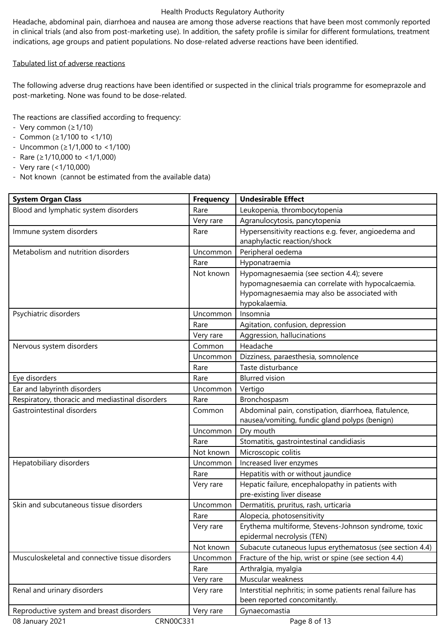Headache, abdominal pain, diarrhoea and nausea are among those adverse reactions that have been most commonly reported in clinical trials (and also from post-marketing use). In addition, the safety profile is similar for different formulations, treatment indications, age groups and patient populations. No dose-related adverse reactions have been identified.

## Tabulated list of adverse reactions

The following adverse drug reactions have been identified or suspected in the clinical trials programme for esomeprazole and post-marketing. None was found to be dose-related.

The reactions are classified according to frequency:

- Very common (≥1/10)
- Common (≥1/100 to <1/10)
- Uncommon (≥1/1,000 to <1/100)
- Rare (≥1/10,000 to <1/1,000)
- Very rare (<1/10,000)
- Not known (cannot be estimated from the available data)

| <b>System Organ Class</b>                             | <b>Frequency</b>              | <b>Undesirable Effect</b>                                  |  |
|-------------------------------------------------------|-------------------------------|------------------------------------------------------------|--|
| Blood and lymphatic system disorders                  | Rare                          | Leukopenia, thrombocytopenia                               |  |
|                                                       | Very rare                     | Agranulocytosis, pancytopenia                              |  |
| Immune system disorders                               | Rare                          | Hypersensitivity reactions e.g. fever, angioedema and      |  |
|                                                       |                               | anaphylactic reaction/shock                                |  |
| Metabolism and nutrition disorders                    | Uncommon                      | Peripheral oedema                                          |  |
|                                                       | Rare                          | Hyponatraemia                                              |  |
|                                                       | Not known                     | Hypomagnesaemia (see section 4.4); severe                  |  |
|                                                       |                               | hypomagnesaemia can correlate with hypocalcaemia.          |  |
|                                                       |                               | Hypomagnesaemia may also be associated with                |  |
|                                                       |                               | hypokalaemia.                                              |  |
| Psychiatric disorders                                 | Uncommon                      | Insomnia                                                   |  |
|                                                       | Rare                          | Agitation, confusion, depression                           |  |
|                                                       | Very rare                     | Aggression, hallucinations                                 |  |
| Nervous system disorders                              | Common                        | Headache                                                   |  |
|                                                       | Uncommon                      | Dizziness, paraesthesia, somnolence                        |  |
|                                                       | Rare                          | Taste disturbance                                          |  |
| Eye disorders                                         | <b>Blurred vision</b><br>Rare |                                                            |  |
| Ear and labyrinth disorders                           | Uncommon                      | Vertigo                                                    |  |
| Respiratory, thoracic and mediastinal disorders       | Rare                          | Bronchospasm                                               |  |
| Gastrointestinal disorders                            | Common                        | Abdominal pain, constipation, diarrhoea, flatulence,       |  |
|                                                       |                               | nausea/vomiting, fundic gland polyps (benign)              |  |
|                                                       | Uncommon                      | Dry mouth                                                  |  |
|                                                       | Rare                          | Stomatitis, gastrointestinal candidiasis                   |  |
|                                                       | Not known                     | Microscopic colitis                                        |  |
| Hepatobiliary disorders                               | Uncommon                      | Increased liver enzymes                                    |  |
|                                                       | Rare                          | Hepatitis with or without jaundice                         |  |
|                                                       | Very rare                     | Hepatic failure, encephalopathy in patients with           |  |
|                                                       |                               | pre-existing liver disease                                 |  |
| Skin and subcutaneous tissue disorders                | Uncommon                      | Dermatitis, pruritus, rash, urticaria                      |  |
|                                                       | Rare                          | Alopecia, photosensitivity                                 |  |
|                                                       | Very rare                     | Erythema multiforme, Stevens-Johnson syndrome, toxic       |  |
|                                                       |                               | epidermal necrolysis (TEN)                                 |  |
|                                                       | Not known                     | Subacute cutaneous lupus erythematosus (see section 4.4)   |  |
| Musculoskeletal and connective tissue disorders       | Uncommon                      | Fracture of the hip, wrist or spine (see section 4.4)      |  |
|                                                       | Rare                          | Arthralgia, myalgia                                        |  |
|                                                       | Very rare                     | Muscular weakness                                          |  |
| Renal and urinary disorders                           | Very rare                     | Interstitial nephritis; in some patients renal failure has |  |
|                                                       |                               | been reported concomitantly.                               |  |
| Reproductive system and breast disorders<br>Very rare |                               | Gynaecomastia                                              |  |
| 08 January 2021<br>CRN00C331                          |                               | Page 8 of 13                                               |  |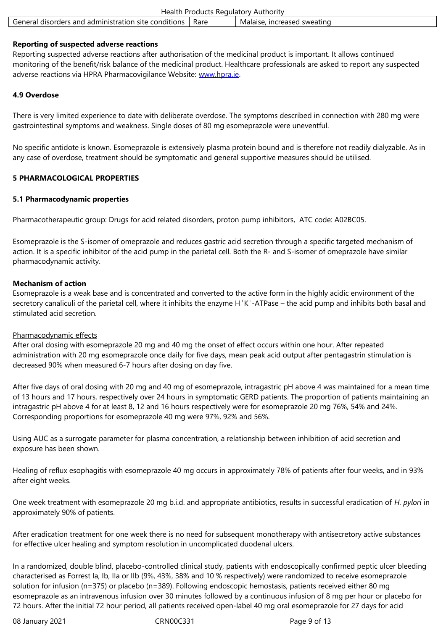#### **Reporting of suspected adverse reactions**

Reporting suspected adverse reactions after authorisation of the medicinal product is important. It allows continued monitoring of the benefit/risk balance of the medicinal product. Healthcare professionals are asked to report any suspected adverse reactions via HPRA Pharmacovigilance Website: www.hpra.ie.

## **4.9 Overdose**

There is very limited experience to date with deliberate [overdose. The](http://www.hpra.ie/) symptoms described in connection with 280 mg were gastrointestinal symptoms and weakness. Single doses of 80 mg esomeprazole were uneventful.

No specific antidote is known. Esomeprazole is extensively plasma protein bound and is therefore not readily dialyzable. As in any case of overdose, treatment should be symptomatic and general supportive measures should be utilised.

## **5 PHARMACOLOGICAL PROPERTIES**

## **5.1 Pharmacodynamic properties**

Pharmacotherapeutic group: Drugs for acid related disorders, proton pump inhibitors, ATC code: A02BC05.

Esomeprazole is the S-isomer of omeprazole and reduces gastric acid secretion through a specific targeted mechanism of action. It is a specific inhibitor of the acid pump in the parietal cell. Both the R- and S-isomer of omeprazole have similar pharmacodynamic activity.

## **Mechanism of action**

Esomeprazole is a weak base and is concentrated and converted to the active form in the highly acidic environment of the secretory canaliculi of the parietal cell, where it inhibits the enzyme H<sup>+</sup>K<sup>+</sup>-ATPase – the acid pump and inhibits both basal and stimulated acid secretion.

#### Pharmacodynamic effects

After oral dosing with esomeprazole 20 mg and 40 mg the onset of effect occurs within one hour. After repeated administration with 20 mg esomeprazole once daily for five days, mean peak acid output after pentagastrin stimulation is decreased 90% when measured 6-7 hours after dosing on day five.

After five days of oral dosing with 20 mg and 40 mg of esomeprazole, intragastric pH above 4 was maintained for a mean time of 13 hours and 17 hours, respectively over 24 hours in symptomatic GERD patients. The proportion of patients maintaining an intragastric pH above 4 for at least 8, 12 and 16 hours respectively were for esomeprazole 20 mg 76%, 54% and 24%. Corresponding proportions for esomeprazole 40 mg were 97%, 92% and 56%.

Using AUC as a surrogate parameter for plasma concentration, a relationship between inhibition of acid secretion and exposure has been shown.

Healing of reflux esophagitis with esomeprazole 40 mg occurs in approximately 78% of patients after four weeks, and in 93% after eight weeks.

One week treatment with esomeprazole 20 mg b.i.d. and appropriate antibiotics, results in successful eradication of *H. pylori* in approximately 90% of patients.

After eradication treatment for one week there is no need for subsequent monotherapy with antisecretory active substances for effective ulcer healing and symptom resolution in uncomplicated duodenal ulcers.

In a randomized, double blind, placebo-controlled clinical study, patients with endoscopically confirmed peptic ulcer bleeding characterised as Forrest Ia, Ib, IIa or IIb (9%, 43%, 38% and 10 % respectively) were randomized to receive esomeprazole solution for infusion (n=375) or placebo (n=389). Following endoscopic hemostasis, patients received either 80 mg esomeprazole as an intravenous infusion over 30 minutes followed by a continuous infusion of 8 mg per hour or placebo for 72 hours. After the initial 72 hour period, all patients received open-label 40 mg oral esomeprazole for 27 days for acid

08 January 2021 CRN00C331 Page 9 of 13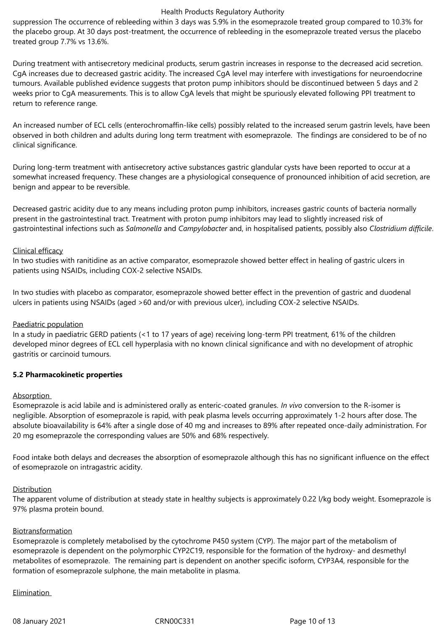suppression The occurrence of rebleeding within 3 days was 5.9% in the esomeprazole treated group compared to 10.3% for the placebo group. At 30 days post-treatment, the occurrence of rebleeding in the esomeprazole treated versus the placebo treated group 7.7% vs 13.6%.

During treatment with antisecretory medicinal products, serum gastrin increases in response to the decreased acid secretion. CgA increases due to decreased gastric acidity. The increased CgA level may interfere with investigations for neuroendocrine tumours. Available published evidence suggests that proton pump inhibitors should be discontinued between 5 days and 2 weeks prior to CgA measurements. This is to allow CgA levels that might be spuriously elevated following PPI treatment to return to reference range.

An increased number of ECL cells (enterochromaffin-like cells) possibly related to the increased serum gastrin levels, have been observed in both children and adults during long term treatment with esomeprazole. The findings are considered to be of no clinical significance.

During long-term treatment with antisecretory active substances gastric glandular cysts have been reported to occur at a somewhat increased frequency. These changes are a physiological consequence of pronounced inhibition of acid secretion, are benign and appear to be reversible.

Decreased gastric acidity due to any means including proton pump inhibitors, increases gastric counts of bacteria normally present in the gastrointestinal tract. Treatment with proton pump inhibitors may lead to slightly increased risk of gastrointestinal infections such as *Salmonella* and *Campylobacter* and, in hospitalised patients, possibly also *Clostridium difficile*.

#### Clinical efficacy

In two studies with ranitidine as an active comparator, esomeprazole showed better effect in healing of gastric ulcers in patients using NSAIDs, including COX-2 selective NSAIDs.

In two studies with placebo as comparator, esomeprazole showed better effect in the prevention of gastric and duodenal ulcers in patients using NSAIDs (aged >60 and/or with previous ulcer), including COX-2 selective NSAIDs.

#### Paediatric population

In a study in paediatric GERD patients (<1 to 17 years of age) receiving long-term PPI treatment, 61% of the children developed minor degrees of ECL cell hyperplasia with no known clinical significance and with no development of atrophic gastritis or carcinoid tumours.

#### **5.2 Pharmacokinetic properties**

#### Absorption

Esomeprazole is acid labile and is administered orally as enteric-coated granules. *In vivo* conversion to the R-isomer is negligible. Absorption of esomeprazole is rapid, with peak plasma levels occurring approximately 1-2 hours after dose. The absolute bioavailability is 64% after a single dose of 40 mg and increases to 89% after repeated once-daily administration. For 20 mg esomeprazole the corresponding values are 50% and 68% respectively.

Food intake both delays and decreases the absorption of esomeprazole although this has no significant influence on the effect of esomeprazole on intragastric acidity.

#### Distribution

The apparent volume of distribution at steady state in healthy subjects is approximately 0.22 l/kg body weight. Esomeprazole is 97% plasma protein bound.

#### Biotransformation

Esomeprazole is completely metabolised by the cytochrome P450 system (CYP). The major part of the metabolism of esomeprazole is dependent on the polymorphic CYP2C19, responsible for the formation of the hydroxy- and desmethyl metabolites of esomeprazole. The remaining part is dependent on another specific isoform, CYP3A4, responsible for the formation of esomeprazole sulphone, the main metabolite in plasma.

## Elimination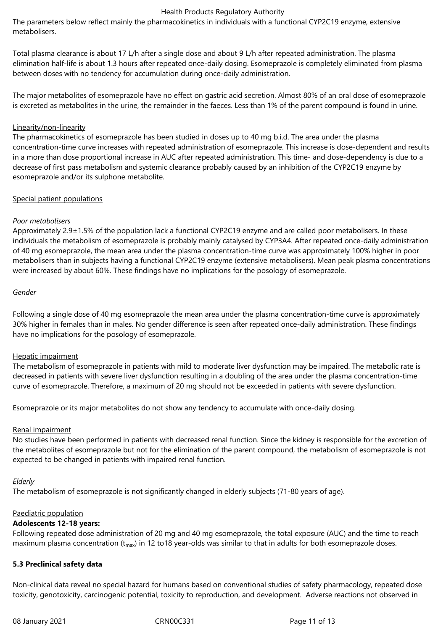The parameters below reflect mainly the pharmacokinetics in individuals with a functional CYP2C19 enzyme, extensive metabolisers.

Total plasma clearance is about 17 L/h after a single dose and about 9 L/h after repeated administration. The plasma elimination half-life is about 1.3 hours after repeated once-daily dosing. Esomeprazole is completely eliminated from plasma between doses with no tendency for accumulation during once-daily administration.

The major metabolites of esomeprazole have no effect on gastric acid secretion. Almost 80% of an oral dose of esomeprazole is excreted as metabolites in the urine, the remainder in the faeces. Less than 1% of the parent compound is found in urine.

#### Linearity/non-linearity

The pharmacokinetics of esomeprazole has been studied in doses up to 40 mg b.i.d. The area under the plasma concentration-time curve increases with repeated administration of esomeprazole. This increase is dose-dependent and results in a more than dose proportional increase in AUC after repeated administration. This time- and dose-dependency is due to a decrease of first pass metabolism and systemic clearance probably caused by an inhibition of the CYP2C19 enzyme by esomeprazole and/or its sulphone metabolite.

#### Special patient populations

#### *Poor metabolisers*

Approximately 2.9±1.5% of the population lack a functional CYP2C19 enzyme and are called poor metabolisers. In these individuals the metabolism of esomeprazole is probably mainly catalysed by CYP3A4. After repeated once-daily administration of 40 mg esomeprazole, the mean area under the plasma concentration-time curve was approximately 100% higher in poor metabolisers than in subjects having a functional CYP2C19 enzyme (extensive metabolisers). Mean peak plasma concentrations were increased by about 60%. These findings have no implications for the posology of esomeprazole.

#### *Gender*

Following a single dose of 40 mg esomeprazole the mean area under the plasma concentration-time curve is approximately 30% higher in females than in males. No gender difference is seen after repeated once-daily administration. These findings have no implications for the posology of esomeprazole.

#### Hepatic impairment

The metabolism of esomeprazole in patients with mild to moderate liver dysfunction may be impaired. The metabolic rate is decreased in patients with severe liver dysfunction resulting in a doubling of the area under the plasma concentration-time curve of esomeprazole. Therefore, a maximum of 20 mg should not be exceeded in patients with severe dysfunction.

Esomeprazole or its major metabolites do not show any tendency to accumulate with once-daily dosing.

#### Renal impairment

No studies have been performed in patients with decreased renal function. Since the kidney is responsible for the excretion of the metabolites of esomeprazole but not for the elimination of the parent compound, the metabolism of esomeprazole is not expected to be changed in patients with impaired renal function.

#### *Elderly*

The metabolism of esomeprazole is not significantly changed in elderly subjects (71-80 years of age).

#### Paediatric population

#### **Adolescents 12-18 years:**

Following repeated dose administration of 20 mg and 40 mg esomeprazole, the total exposure (AUC) and the time to reach maximum plasma concentration ( $t_{max}$ ) in 12 to18 year-olds was similar to that in adults for both esomeprazole doses.

#### **5.3 Preclinical safety data**

Non-clinical data reveal no special hazard for humans based on conventional studies of safety pharmacology, repeated dose toxicity, genotoxicity, carcinogenic potential, toxicity to reproduction, and development. Adverse reactions not observed in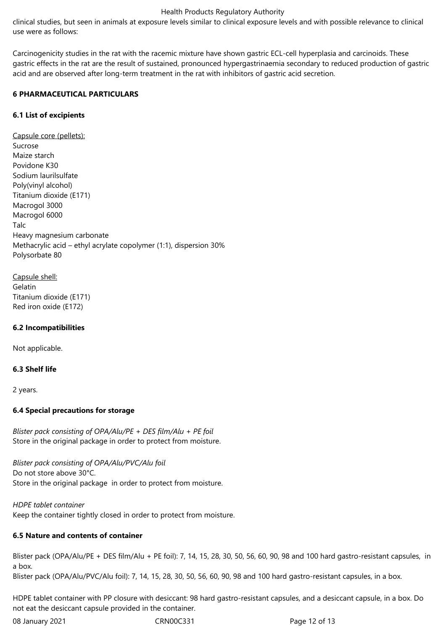clinical studies, but seen in animals at exposure levels similar to clinical exposure levels and with possible relevance to clinical use were as follows:

Carcinogenicity studies in the rat with the racemic mixture have shown gastric ECL-cell hyperplasia and carcinoids. These gastric effects in the rat are the result of sustained, pronounced hypergastrinaemia secondary to reduced production of gastric acid and are observed after long-term treatment in the rat with inhibitors of gastric acid secretion.

#### **6 PHARMACEUTICAL PARTICULARS**

## **6.1 List of excipients**

Capsule core (pellets): Sucrose Maize starch Povidone K30 Sodium laurilsulfate Poly(vinyl alcohol) Titanium dioxide (E171) Macrogol 3000 Macrogol 6000 Talc Heavy magnesium carbonate Methacrylic acid – ethyl acrylate copolymer (1:1), dispersion 30% Polysorbate 80

Capsule shell: Gelatin Titanium dioxide (E171) Red iron oxide (E172)

## **6.2 Incompatibilities**

Not applicable.

#### **6.3 Shelf life**

2 years.

## **6.4 Special precautions for storage**

*Blister pack consisting of OPA/Alu/PE + DES film/Alu + PE foil* Store in the original package in order to protect from moisture.

*Blister pack consisting of OPA/Alu/PVC/Alu foil* Do not store above 30°C. Store in the original package in order to protect from moisture.

*HDPE tablet container* Keep the container tightly closed in order to protect from moisture.

## **6.5 Nature and contents of container**

Blister pack (OPA/Alu/PE + DES film/Alu + PE foil): 7, 14, 15, 28, 30, 50, 56, 60, 90, 98 and 100 hard gastro-resistant capsules, in a box.

Blister pack (OPA/Alu/PVC/Alu foil): 7, 14, 15, 28, 30, 50, 56, 60, 90, 98 and 100 hard gastro-resistant capsules, in a box.

HDPE tablet container with PP closure with desiccant: 98 hard gastro-resistant capsules, and a desiccant capsule, in a box. Do not eat the desiccant capsule provided in the container.

08 January 2021 CRN00C331 Page 12 of 13